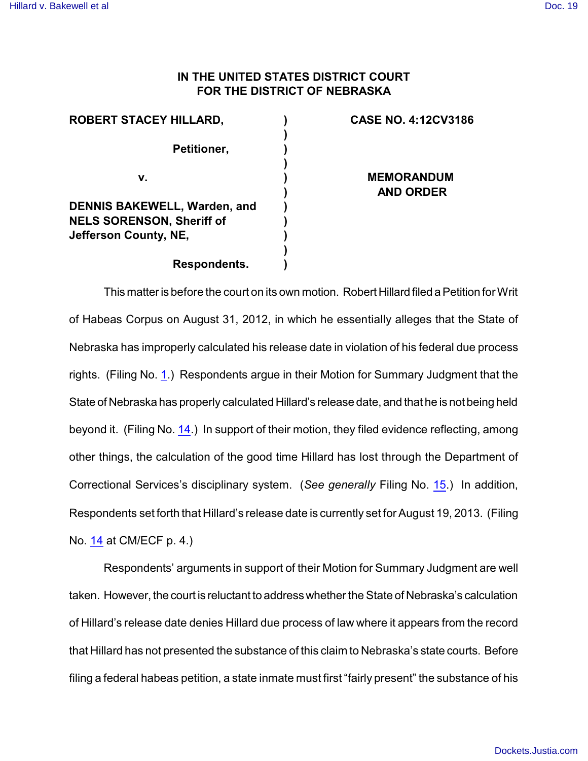## **IN THE UNITED STATES DISTRICT COURT FOR THE DISTRICT OF NEBRASKA**

| <b>ROBERT STACEY HILLARD,</b>       | <b>CASE NO. 4:12CV3186</b> |
|-------------------------------------|----------------------------|
| Petitioner,                         |                            |
|                                     |                            |
| v.                                  | <b>MEMORANDUM</b>          |
|                                     | <b>AND ORDER</b>           |
| <b>DENNIS BAKEWELL, Warden, and</b> |                            |
| <b>NELS SORENSON, Sheriff of</b>    |                            |
| Jefferson County, NE,               |                            |
|                                     |                            |
| Respondents.                        |                            |

This matteris before the court on its own motion. Robert Hillard filed aPetition forWrit of Habeas Corpus on August 31, 2012, in which he essentially alleges that the State of Nebraska has improperly calculated his release date in violation of his federal due process rights. (Filing No. [1](http://ecf.ned.uscourts.gov/doc1/11302599320).) Respondents argue in their Motion for Summary Judgment that the State of Nebraska has properly calculated Hillard's release date, and that he is not being held beyond it. (Filing No. [14](http://ecf.ned.uscourts.gov/doc1/11302656005).) In support of their motion, they filed evidence reflecting, among other things, the calculation of the good time Hillard has lost through the Department of Correctional Services's disciplinary system. (*See generally* Filing No. [15](http://ecf.ned.uscourts.gov/doc1/11302656016).) In addition, Respondents set forth that Hillard's release date is currently set for August 19, 2013. (Filing No. [14](http://ecf.ned.uscourts.gov/doc1/11302656005) at CM/ECF p. 4.)

Respondents' arguments in support of their Motion for Summary Judgment are well taken. However, the court is reluctant to address whether the State of Nebraska's calculation of Hillard's release date denies Hillard due process of law where it appears from the record that Hillard has not presented the substance of this claim to Nebraska's state courts. Before filing a federal habeas petition, a state inmate must first "fairly present" the substance of his